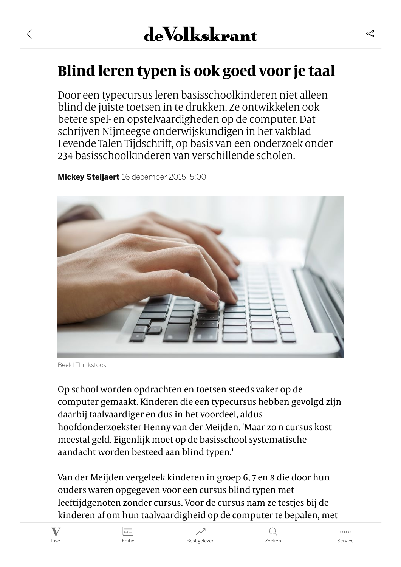# **Blind leren typen is ook goed voor je taal**

Door een typecursus leren basisschoolkinderen niet alleen blind de juiste toetsen in te drukken. Ze ontwikkelen ook betere spel- en opstelvaardigheden op de computer. Dat schrijven Nijmeegse onderwijskundigen in het vakblad Levende Talen Tijdschrift, op basis van een onderzoek onder 234 basisschoolkinderen van verschillende scholen.

[Mickey Steijaert](https://www.volkskrant.nl/auteur/Mickey%20Steijaert) 16 december 2015, 5:00



Beeld Thinkstock

 $\langle$ 

Op school worden opdrachten en toetsen steeds vaker op de computer gemaakt. Kinderen die een typecursus hebben gevolgd zijn daarbij taalvaardiger en dus in het voordeel, aldus hoofdonderzoekster Henny van der Meijden. 'Maar zo'n cursus kost meestal geld. Eigenlijk moet op de basisschool systematische aandacht worden besteed aan blind typen.'

Van der Meijden vergeleek kinderen in groep 6, 7 en 8 die door hun ouders waren opgegeven voor een cursus blind typen met leeftijdgenoten zonder cursus. Voor de cursus nam ze testjes bij de kinderen af om hun taalvaardigheid op de computer te bepalen, met







 $000$ 

≪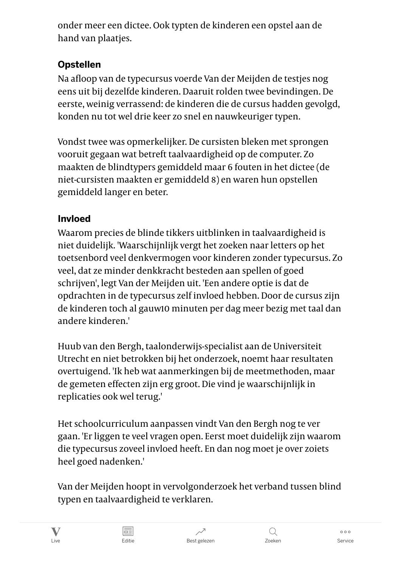onder meer een dictee. Ook typten de kinderen een opstel aan de hand van plaatjes.

# Opstellen

Na afloop van de typecursus voerde Van der Meijden de testjes nog eens uit bij dezelfde kinderen. Daaruit rolden twee bevindingen. De eerste, weinig verrassend: de kinderen die de cursus hadden gevolgd, konden nu tot wel drie keer zo snel en nauwkeuriger typen.

Vondst twee was opmerkelijker. De cursisten bleken met sprongen vooruit gegaan wat betreft taalvaardigheid op de computer. Zo maakten de blindtypers gemiddeld maar 6 fouten in het dictee (de niet-cursisten maakten er gemiddeld 8) en waren hun opstellen gemiddeld langer en beter.

## Invloed

Waarom precies de blinde tikkers uitblinken in taalvaardigheid is niet duidelijk. 'Waarschijnlijk vergt het zoeken naar letters op het toetsenbord veel denkvermogen voor kinderen zonder typecursus. Zo veel, dat ze minder denkkracht besteden aan spellen of goed schrijven', legt Van der Meijden uit. 'Een andere optie is dat de opdrachten in de typecursus zelf invloed hebben. Door de cursus zijn de kinderen toch al gauw10 minuten per dag meer bezig met taal dan andere kinderen.'

Huub van den Bergh, taalonderwijs-specialist aan de Universiteit Utrecht en niet betrokken bij het onderzoek, noemt haar resultaten overtuigend. 'Ik heb wat aanmerkingen bij de meetmethoden, maar de gemeten effecten zijn erg groot. Die vind je waarschijnlijk in replicaties ook wel terug.'

Het schoolcurriculum aanpassen vindt Van den Bergh nog te ver gaan. 'Er liggen te veel vragen open. Eerst moet duidelijk zijn waarom die typecursus zoveel invloed heeft. En dan nog moet je over zoiets heel goed nadenken.'

Van der Meijden hoopt in vervolgonderzoek het verband tussen blind typen en taalvaardigheid te verklaren.

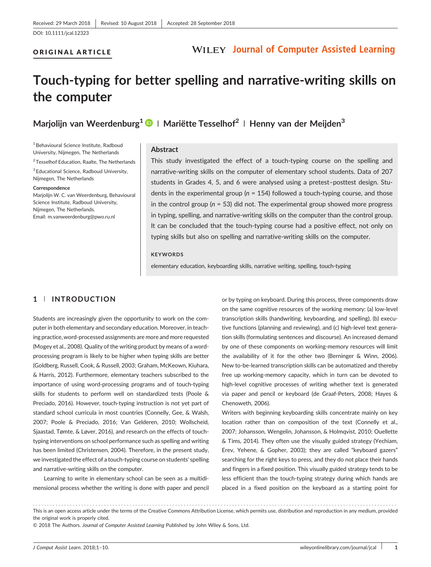#### ORIGINAL ARTICLE

# **Touch‐typing for better spelling and narrative‐writing skills on the computer**

**Marjolijn van Weerdenburg1 <sup>|</sup> Mariëtte Tesselhof<sup>2</sup> <sup>|</sup> Henny van der Meijden<sup>3</sup>**

1Behavioural Science Institute, Radboud University, Nijmegen, The Netherlands

2Tesselhof Education, Raalte, The Netherlands

<sup>3</sup> Educational Science, Radboud University, Nijmegen, The Netherlands

#### **Correspondence**

Marioliin W. C. van Weerdenburg, Behavioural Science Institute, Radboud University, Nijmegen, The Netherlands. Email: [m.vanweerdenburg@pwo.ru.nl](mailto:m.vanweerdenburg@pwo.ru.nl)

#### **Abstract**

This study investigated the effect of a touch-typing course on the spelling and narrative‐writing skills on the computer of elementary school students. Data of 207 students in Grades 4, 5, and 6 were analysed using a pretest–posttest design. Students in the experimental group (*n* = 154) followed a touch‐typing course, and those in the control group (*n* = 53) did not. The experimental group showed more progress in typing, spelling, and narrative‐writing skills on the computer than the control group. It can be concluded that the touch‐typing course had a positive effect, not only on typing skills but also on spelling and narrative‐writing skills on the computer.

#### **KEYWORDS**

elementary education, keyboarding skills, narrative writing, spelling, touch‐typing

#### **1** | **INTRODUCTION**

Students are increasingly given the opportunity to work on the computer in both elementary and secondary education. Moreover, in teaching practice, word‐processed assignments are more and more requested (Mogey et al., 2008). Quality of the writing product by means of a word‐ processing program is likely to be higher when typing skills are better (Goldberg, Russell, Cook, & Russell, 2003; Graham, McKeown, Kiuhara, & Harris, 2012). Furthermore, elementary teachers subscribed to the importance of using word‐processing programs and of touch‐typing skills for students to perform well on standardized tests (Poole & Preciado, 2016). However, touch-typing instruction is not yet part of standard school curricula in most countries (Connelly, Gee, & Walsh, 2007; Poole & Preciado, 2016; Van Gelderen, 2010; Wollscheid, Sjaastad, Tømte, & Løver, 2016), and research on the effects of touch‐ typing interventions on school performance such as spelling and writing has been limited (Christensen, 2004). Therefore, in the present study, we investigated the effect of a touch-typing course on students' spelling and narrative‐writing skills on the computer.

Learning to write in elementary school can be seen as a multidimensional process whether the writing is done with paper and pencil or by typing on keyboard. During this process, three components draw on the same cognitive resources of the working memory: (a) low‐level transcription skills (handwriting, keyboarding, and spelling), (b) executive functions (planning and reviewing), and (c) high‐level text generation skills (formulating sentences and discourse). An increased demand by one of these components on working‐memory resources will limit the availability of it for the other two (Berninger & Winn, 2006). New to‐be‐learned transcription skills can be automatized and thereby free up working‐memory capacity, which in turn can be devoted to high-level cognitive processes of writing whether text is generated via paper and pencil or keyboard (de Graaf‐Peters, 2008; Hayes & Chenoweth, 2006).

Writers with beginning keyboarding skills concentrate mainly on key location rather than on composition of the text (Connelly et al., 2007; Johansson, Wengelin, Johansson, & Holmqvist, 2010; Ouellette & Tims, 2014). They often use the visually guided strategy (Yechiam, Erev, Yehene, & Gopher, 2003); they are called "keyboard gazers" searching for the right keys to press, and they do not place their hands and fingers in a fixed position. This visually guided strategy tends to be less efficient than the touch-typing strategy during which hands are placed in a fixed position on the keyboard as a starting point for

------------------------------------------------------------------------------------------------------------------------------- - This is an open access article under the terms of the [Creative Commons Attribution](http://creativecommons.org/licenses/by/4.0/) License, which permits use, distribution and reproduction in any medium, provided the original work is properly cited.

© 2018 The Authors. *Journal of Computer Assisted Learning* Published by John Wiley & Sons, Ltd.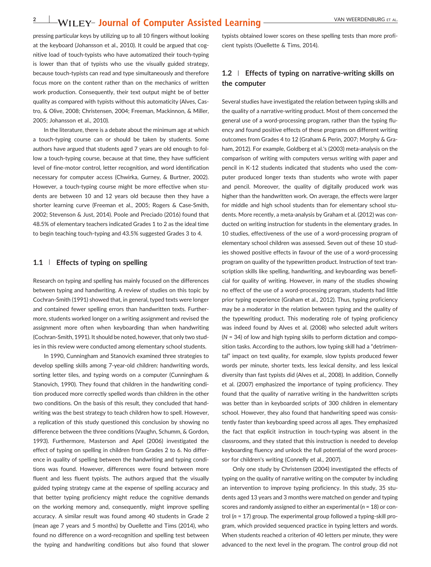### **2** VAN WEERDENBURG ET AL.

pressing particular keys by utilizing up to all 10 fingers without looking at the keyboard (Johansson et al., 2010). It could be argued that cognitive load of touch‐typists who have automatized their touch‐typing is lower than that of typists who use the visually guided strategy, because touch‐typists can read and type simultaneously and therefore focus more on the content rather than on the mechanics of written work production. Consequently, their text output might be of better quality as compared with typists without this automaticity (Alves, Castro, & Olive, 2008; Christensen, 2004; Freeman, Mackinnon, & Miller, 2005; Johansson et al., 2010).

In the literature, there is a debate about the minimum age at which a touch‐typing course can or should be taken by students. Some authors have argued that students aged 7 years are old enough to follow a touch-typing course, because at that time, they have sufficient level of fine‐motor control, letter recognition, and word identification necessary for computer access (Chwirka, Gurney, & Burtner, 2002). However, a touch-typing course might be more effective when students are between 10 and 12 years old because then they have a shorter learning curve (Freeman et al., 2005; Rogers & Case‐Smith, 2002; Stevenson & Just, 2014). Poole and Preciado (2016) found that 48.5% of elementary teachers indicated Grades 1 to 2 as the ideal time to begin teaching touch‐typing and 43.5% suggested Grades 3 to 4.

#### **1.1** | **Effects of typing on spelling**

Research on typing and spelling has mainly focused on the differences between typing and handwriting. A review of studies on this topic by Cochran‐Smith (1991) showed that, in general, typed texts were longer and contained fewer spelling errors than handwritten texts. Furthermore, students worked longer on a writing assignment and revised the assignment more often when keyboarding than when handwriting (Cochran‐Smith, 1991). It should be noted, however, that only two studies in this review were conducted among elementary school students.

In 1990, Cunningham and Stanovich examined three strategies to develop spelling skills among 7‐year‐old children: handwriting words, sorting letter tiles, and typing words on a computer (Cunningham & Stanovich, 1990). They found that children in the handwriting condition produced more correctly spelled words than children in the other two conditions. On the basis of this result, they concluded that handwriting was the best strategy to teach children how to spell. However, a replication of this study questioned this conclusion by showing no difference between the three conditions (Vaughn, Schumm, & Gordon, 1993). Furthermore, Masterson and Apel (2006) investigated the effect of typing on spelling in children from Grades 2 to 6. No difference in quality of spelling between the handwriting and typing conditions was found. However, differences were found between more fluent and less fluent typists. The authors argued that the visually guided typing strategy came at the expense of spelling accuracy and that better typing proficiency might reduce the cognitive demands on the working memory and, consequently, might improve spelling accuracy. A similar result was found among 40 students in Grade 2 (mean age 7 years and 5 months) by Ouellette and Tims (2014), who found no difference on a word‐recognition and spelling test between the typing and handwriting conditions but also found that slower

typists obtained lower scores on these spelling tests than more proficient typists (Ouellette & Tims, 2014).

#### **1.2** | **Effects of typing on narrative‐writing skills on the computer**

Several studies have investigated the relation between typing skills and the quality of a narrative‐writing product. Most of them concerned the general use of a word‐processing program, rather than the typing fluency and found positive effects of these programs on different writing outcomes from Grades 4 to 12 (Graham & Perin, 2007; Morphy & Graham, 2012). For example, Goldberg et al.'s (2003) meta-analysis on the comparison of writing with computers versus writing with paper and pencil in K‐12 students indicated that students who used the computer produced longer texts than students who wrote with paper and pencil. Moreover, the quality of digitally produced work was higher than the handwritten work. On average, the effects were larger for middle and high school students than for elementary school students. More recently, a meta‐analysis by Graham et al. (2012) was conducted on writing instruction for students in the elementary grades. In 10 studies, effectiveness of the use of a word‐processing program of elementary school children was assessed. Seven out of these 10 studies showed positive effects in favour of the use of a word‐processing program on quality of the typewritten product. Instruction of text transcription skills like spelling, handwriting, and keyboarding was beneficial for quality of writing. However, in many of the studies showing no effect of the use of a word‐processing program, students had little prior typing experience (Graham et al., 2012). Thus, typing proficiency may be a moderator in the relation between typing and the quality of the typewriting product. This moderating role of typing proficiency was indeed found by Alves et al. (2008) who selected adult writers (*N* = 34) of low and high typing skills to perform dictation and composition tasks. According to the authors, low typing skill had a "detrimental" impact on text quality, for example, slow typists produced fewer words per minute, shorter texts, less lexical density, and less lexical diversity than fast typists did (Alves et al., 2008). In addition, Connelly et al. (2007) emphasized the importance of typing proficiency. They found that the quality of narrative writing in the handwritten scripts was better than in keyboarded scripts of 300 children in elementary school. However, they also found that handwriting speed was consistently faster than keyboarding speed across all ages. They emphasized the fact that explicit instruction in touch‐typing was absent in the classrooms, and they stated that this instruction is needed to develop keyboarding fluency and unlock the full potential of the word processor for children's writing (Connelly et al., 2007).

Only one study by Christensen (2004) investigated the effects of typing on the quality of narrative writing on the computer by including an intervention to improve typing proficiency. In this study, 35 students aged 13 years and 3 months were matched on gender and typing scores and randomly assigned to either an experimental (*n* = 18) or control (*n* = 17) group. The experimental group followed a typing‐skill program, which provided sequenced practice in typing letters and words. When students reached a criterion of 40 letters per minute, they were advanced to the next level in the program. The control group did not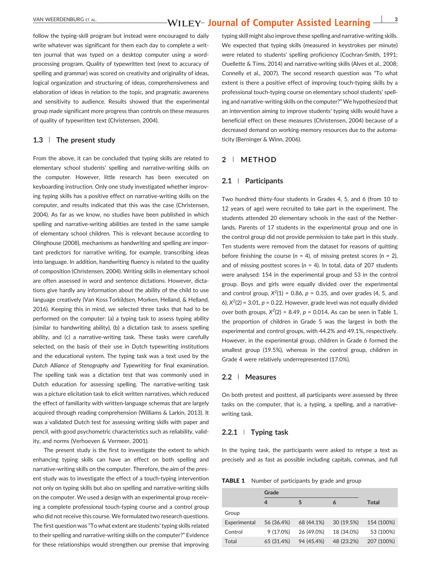follow the typing‐skill program but instead were encouraged to daily write whatever was significant for them each day to complete a written journal that was typed on a desktop computer using a word‐ processing program. Quality of typewritten text (next to accuracy of spelling and grammar) was scored on creativity and originality of ideas, logical organization and structuring of ideas, comprehensiveness and elaboration of ideas in relation to the topic, and pragmatic awareness and sensitivity to audience. Results showed that the experimental group made significant more progress than controls on these measures of quality of typewritten text (Christensen, 2004).

#### **1.3** | **The present study**

From the above, it can be concluded that typing skills are related to elementary school students' spelling and narrative‐writing skills on the computer. However, little research has been executed on keyboarding instruction. Only one study investigated whether improving typing skills has a positive effect on narrative‐writing skills on the computer, and results indicated that this was the case (Christensen, 2004). As far as we know, no studies have been published in which spelling and narrative‐writing abilities are tested in the same sample of elementary school children. This is relevant because according to Olinghouse (2008), mechanisms as handwriting and spelling are important predictors for narrative writing, for example, transcribing ideas into language. In addition, handwriting fluency is related to the quality of composition (Christensen, 2004). Writing skills in elementary school are often assessed in word and sentence dictations. However, dictations give hardly any information about the ability of the child to use language creatively (Van Koss Torkildsen, Morken, Helland, & Helland, 2016). Keeping this in mind, we selected three tasks that had to be performed on the computer: (a) a typing task to assess typing ability (similar to handwriting ability), (b) a dictation task to assess spelling ability, and (c) a narrative‐writing task. These tasks were carefully selected, on the basis of their use in Dutch typewriting institutions and the educational system. The typing task was a text used by the *Dutch Alliance of Stenography and Typewriting* for final examination. The spelling task was a dictation test that was commonly used in Dutch education for assessing spelling. The narrative‐writing task was a picture elicitation task to elicit written narratives, which reduced the effect of familiarity with written‐language schemas that are largely acquired through reading comprehension (Williams & Larkin, 2013). It was a validated Dutch test for assessing writing skills with paper and pencil, with good psychometric characteristics such as reliability, validity, and norms (Verhoeven & Vermeer, 2001).

The present study is the first to investigate the extent to which enhancing typing skills can have an effect on both spelling and narrative-writing skills on the computer. Therefore, the aim of the present study was to investigate the effect of a touch‐typing intervention not only on typing skills but also on spelling and narrative‐writing skills on the computer. We used a design with an experimental group receiving a complete professional touch‐typing course and a control group who did not receive this course. We formulated two research questions. The first question was "To what extent are students' typing skills related to their spelling and narrative‐writing skills on the computer?" Evidence for these relationships would strengthen our premise that improving

typing skill might also improve these spelling and narrative‐writing skills. We expected that typing skills (measured in keystrokes per minute) were related to students' spelling proficiency (Cochran-Smith, 1991; Ouellette & Tims, 2014) and narrative‐writing skills (Alves et al., 2008; Connelly et al., 2007). The second research question was "To what extent is there a positive effect of improving touch-typing skills by a professional touch‐typing course on elementary school students' spelling and narrative‐writing skills on the computer?" We hypothesized that an intervention aiming to improve students' typing skills would have a beneficial effect on these measures (Christensen, 2004) because of a decreased demand on working‐memory resources due to the automaticity (Berninger & Winn, 2006).

#### **2** | **METHOD**

#### **2.1** | **Participants**

Two hundred thirty‐four students in Grades 4, 5, and 6 (from 10 to 12 years of age) were recruited to take part in the experiment. The students attended 20 elementary schools in the east of the Netherlands. Parents of 17 students in the experimental group and one in the control group did not provide permission to take part in this study. Ten students were removed from the dataset for reasons of quitting before finishing the course (*n* = 4), of missing pretest scores (*n* = 2), and of missing posttest scores (*n* = 4). In total, data of 207 students were analysed: 154 in the experimental group and 53 in the control group. Boys and girls were equally divided over the experimental and control group,  $X^2(1) = 0.86$ ,  $p = 0.35$ , and over grades (4, 5, and 6),  $X^2(2)$  = 3.01,  $p$  = 0.22. However, grade level was not equally divided over both groups,  $X^2(2) = 8.49$ ,  $p = 0.014$ . As can be seen in Table 1, the proportion of children in Grade 5 was the largest in both the experimental and control groups, with 44.2% and 49.1%, respectively. However, in the experimental group, children in Grade 6 formed the smallest group (19.5%), whereas in the control group, children in Grade 4 were relatively underrepresented (17.0%).

#### **2.2** | **Measures**

On both pretest and posttest, all participants were assessed by three tasks on the computer, that is, a typing, a spelling, and a narrative‐ writing task.

#### **2.2.1** <sup>|</sup> **Typing task**

In the typing task, the participants were asked to retype a text as precisely and as fast as possible including capitals, commas, and full

**TABLE 1** Number of participants by grade and group

|              | Grade      |            |            |            |
|--------------|------------|------------|------------|------------|
|              | 4          | 5          | 6          | Total      |
| Group        |            |            |            |            |
| Experimental | 56 (36.4%) | 68 (44.1%) | 30 (19.5%) | 154 (100%) |
| Control      | 9(17.0%)   | 26 (49.0%) | 18 (34.0%) | 53 (100%)  |
| Total        | 65 (31.4%) | 94 (45.4%) | 48 (23.2%) | 207 (100%) |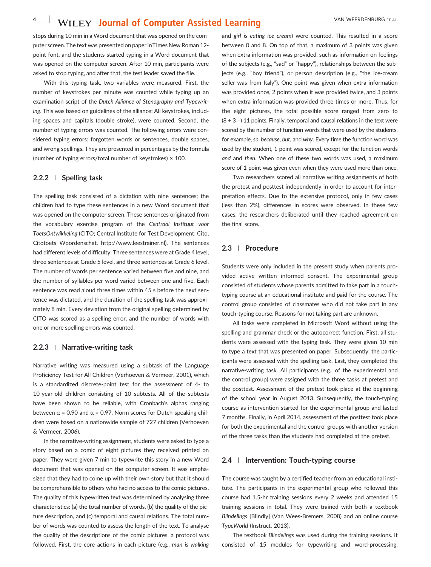### **4** VILEY- Journal of Computer Assisted Learning VAN WEERDENBURG ET AL.

stops during 10 min in a Word document that was opened on the computer screen. The text was presented on paper inTimes New Roman 12‐ point font, and the students started typing in a Word document that was opened on the computer screen. After 10 min, participants were asked to stop typing, and after that, the test leader saved the file.

With this typing task, two variables were measured. First, the number of keystrokes per minute was counted while typing up an examination script of the *Dutch Alliance of Stenography and Typewriting*. This was based on guidelines of the alliance: All keystrokes, including spaces and capitals (double stroke), were counted. Second, the number of typing errors was counted. The following errors were considered typing errors: forgotten words or sentences, double spaces, and wrong spellings. They are presented in percentages by the formula (number of typing errors/total number of keystrokes)  $\times$  100.

#### **2.2.2** <sup>|</sup> **Spelling task**

The spelling task consisted of a dictation with nine sentences; the children had to type these sentences in a new Word document that was opened on the computer screen. These sentences originated from the vocabulary exercise program of the *Centraal Instituut voor ToetsOntwikkeling* (CITO; Central Institute for Test Development; Cito, Citotoets Woordenschat,<http://www.leestrainer.nl>). The sentences had different levels of difficulty: Three sentences were at Grade 4 level, three sentences at Grade 5 level, and three sentences at Grade 6 level. The number of words per sentence varied between five and nine, and the number of syllables per word varied between one and five. Each sentence was read aloud three times within 45 s before the next sentence was dictated, and the duration of the spelling task was approximately 8 min. Every deviation from the original spelling determined by CITO was scored as a spelling error, and the number of words with one or more spelling errors was counted.

#### **2.2.3** <sup>|</sup> **Narrative‐writing task**

Narrative writing was measured using a subtask of the Language Proficiency Test for All Children (Verhoeven & Vermeer, 2001), which is a standardized discrete‐point test for the assessment of 4‐ to 10‐year‐old children consisting of 10 subtests. All of the subtests have been shown to be reliable, with Cronbach's alphas ranging between  $\alpha$  = 0.90 and  $\alpha$  = 0.97. Norm scores for Dutch-speaking children were based on a nationwide sample of 727 children (Verhoeven & Vermeer, 2006).

In the narrative‐writing assignment, students were asked to type a story based on a comic of eight pictures they received printed on paper. They were given 7 min to typewrite this story in a new Word document that was opened on the computer screen. It was emphasized that they had to come up with their own story but that it should be comprehensible to others who had no access to the comic pictures. The quality of this typewritten text was determined by analysing three characteristics: (a) the total number of words, (b) the quality of the picture description, and (c) temporal and causal relations. The total number of words was counted to assess the length of the text. To analyse the quality of the descriptions of the comic pictures, a protocol was followed. First, the core actions in each picture (e.g., *man is walking*

and *girl is eating ice cream*) were counted. This resulted in a score between 0 and 8. On top of that, a maximum of 3 points was given when extra information was provided, such as information on feelings of the subjects (e.g., "sad" or "happy"), relationships between the subjects (e.g., "boy friend"), or person description (e.g., "the ice-cream seller was from Italy"). One point was given when extra information was provided once, 2 points when it was provided twice, and 3 points when extra information was provided three times or more. Thus, for the eight pictures, the total possible score ranged from zero to  $(8 + 3 = 11$  points. Finally, temporal and causal relations in the text were scored by the number of function words that were used by the students, for example, *so*, *because*, *but*, and *why*. Every time the function word was used by the student, 1 point was scored, except for the function words *and* and *then*. When one of these two words was used, a maximum score of 1 point was given even when they were used more than once.

Two researchers scored all narrative writing assignments of both the pretest and posttest independently in order to account for interpretation effects. Due to the extensive protocol, only in few cases (less than 2%), differences in scores were observed. In these few cases, the researchers deliberated until they reached agreement on the final score.

#### **2.3** | **Procedure**

Students were only included in the present study when parents provided active written informed consent. The experimental group consisted of students whose parents admitted to take part in a touch‐ typing course at an educational institute and paid for the course. The control group consisted of classmates who did not take part in any touch‐typing course. Reasons for not taking part are unknown.

All tasks were completed in Microsoft Word without using the spelling and grammar check or the autocorrect function. First, all students were assessed with the typing task. They were given 10 min to type a text that was presented on paper. Subsequently, the participants were assessed with the spelling task. Last, they completed the narrative-writing task. All participants (e.g., of the experimental and the control group) were assigned with the three tasks at pretest and the posttest. Assessment of the pretest took place at the beginning of the school year in August 2013. Subsequently, the touch‐typing course as intervention started for the experimental group and lasted 7 months. Finally, in April 2014, assessment of the posttest took place for both the experimental and the control groups with another version of the three tasks than the students had completed at the pretest.

#### **2.4** | **Intervention: Touch‐typing course**

The course was taught by a certified teacher from an educational institute. The participants in the experimental group who followed this course had 1.5‐hr training sessions every 2 weeks and attended 15 training sessions in total. They were trained with both a textbook *Blindelings* [Blindly] (Van Wees‐Bremers, 2008) and an online course *TypeWorld* (Instruct, 2013).

The textbook *Blindelings* was used during the training sessions. It consisted of 15 modules for typewriting and word‐processing.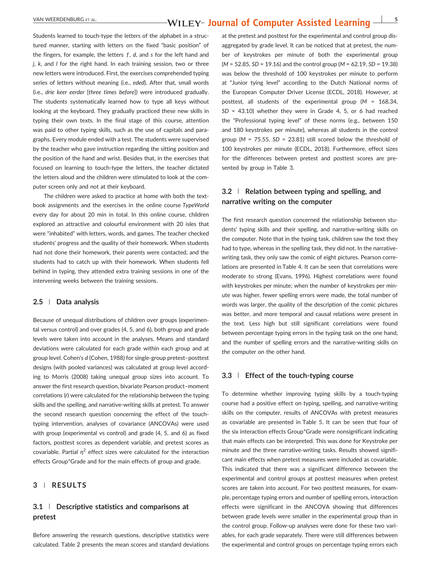### VAN WEERDENBURG ET AL. **1998 - SEPTEMBURG ET AL.** 5

Students learned to touch-type the letters of the alphabet in a structured manner, starting with letters on the fixed "basic position" of the fingers, for example, the letters *f* , *d*, and *s* for the left hand and *j*, *k*, and *l* for the right hand. In each training session, two or three new letters were introduced. First, the exercises comprehended typing series of letters without meaning (i.e., *eded*). After that, small words (i.e., *drie keer eerder* [*three times before*]) were introduced gradually. The students systematically learned how to type all keys without looking at the keyboard. They gradually practiced these new skills in typing their own texts. In the final stage of this course, attention was paid to other typing skills, such as the use of capitals and paragraphs. Every module ended with a test. The students were supervised by the teacher who gave instruction regarding the sitting position and the position of the hand and wrist. Besides that, in the exercises that focused on learning to touch‐type the letters, the teacher dictated the letters aloud and the children were stimulated to look at the computer screen only and not at their keyboard.

The children were asked to practice at home with both the textbook assignments and the exercises in the online course *TypeWorld* every day for about 20 min in total. In this online course, children explored an attractive and colourful environment with 20 isles that were "inhabited" with letters, words, and games. The teacher checked students' progress and the quality of their homework. When students had not done their homework, their parents were contacted, and the students had to catch up with their homework. When students fell behind in typing, they attended extra training sessions in one of the intervening weeks between the training sessions.

#### **2.5** | **Data analysis**

Because of unequal distributions of children over groups (experimental versus control) and over grades (4, 5, and 6), both group and grade levels were taken into account in the analyses. Means and standard deviations were calculated for each grade within each group and at group level. Cohen's *d* (Cohen, 1988) for single‐group pretest–posttest designs (with pooled variances) was calculated at group level according to Morris (2008) taking unequal group sizes into account. To answer the first research question, bivariate Pearson product–moment correlations (*r*) were calculated for the relationship between the typing skills and the spelling, and narrative‐writing skills at pretest. To answer the second research question concerning the effect of the touch‐ typing intervention, analyses of covariance (ANCOVAs) were used with group (experimental vs control) and grade (4, 5, and 6) as fixed factors, posttest scores as dependent variable, and pretest scores as covariable. Partial  $\eta^2$  effect sizes were calculated for the interaction effects Group\*Grade and for the main effects of group and grade.

#### **3** | **RESULTS**

#### **3.1** | **Descriptive statistics and comparisons at pretest**

Before answering the research questions, descriptive statistics were calculated. Table 2 presents the mean scores and standard deviations at the pretest and posttest for the experimental and control group disaggregated by grade level. It can be noticed that at pretest, the number of keystrokes per minute of both the experimental group (*M* = 52.85, *SD* = 19.16) and the control group (*M* = 62.19, *SD* = 19.38) was below the threshold of 100 keystrokes per minute to perform at "Junior tying level" according to the Dutch National norms of the European Computer Driver License (ECDL, 2018). However, at posttest, all students of the experimental group (*M* = 168.34, *SD* = 43.10) whether they were in Grade 4, 5, or 6 had reached the "Professional typing level" of these norms (e.g., between 150 and 180 keystrokes per minute), whereas all students in the control group ( $M = 75.55$ ,  $SD = 23.81$ ) still scored below the threshold of 100 keystrokes per minute (ECDL, 2018). Furthermore, effect sizes for the differences between pretest and posttest scores are presented by group in Table 3.

#### **3.2** | **Relation between typing and spelling, and narrative writing on the computer**

The first research question concerned the relationship between students' typing skills and their spelling, and narrative‐writing skills on the computer. Note that in the typing task, children saw the text they had to type, whereas in the spelling task, they did not. In the narrativewriting task, they only saw the comic of eight pictures. Pearson correlations are presented in Table 4. It can be seen that correlations were moderate to strong (Evans, 1996). Highest correlations were found with keystrokes per minute; when the number of keystrokes per minute was higher, fewer spelling errors were made, the total number of words was larger, the quality of the description of the comic pictures was better, and more temporal and causal relations were present in the text. Less high but still significant correlations were found between percentage typing errors in the typing task on the one hand, and the number of spelling errors and the narrative-writing skills on the computer on the other hand.

#### **3.3** | **Effect of the touch‐typing course**

To determine whether improving typing skills by a touch‐typing course had a positive effect on typing, spelling, and narrative‐writing skills on the computer, results of ANCOVAs with pretest measures as covariable are presented in Table 5. It can be seen that four of the six interaction effects Group\*Grade were nonsignificant indicating that main effects can be interpreted. This was done for Keystroke per minute and the three narrative-writing tasks. Results showed significant main effects when pretest measures were included as covariable. This indicated that there was a significant difference between the experimental and control groups at posttest measures when pretest scores are taken into account. For two posttest measures, for example, percentage typing errors and number of spelling errors, interaction effects were significant in the ANCOVA showing that differences between grade levels were smaller in the experimental group than in the control group. Follow‐up analyses were done for these two variables, for each grade separately. There were still differences between the experimental and control groups on percentage typing errors each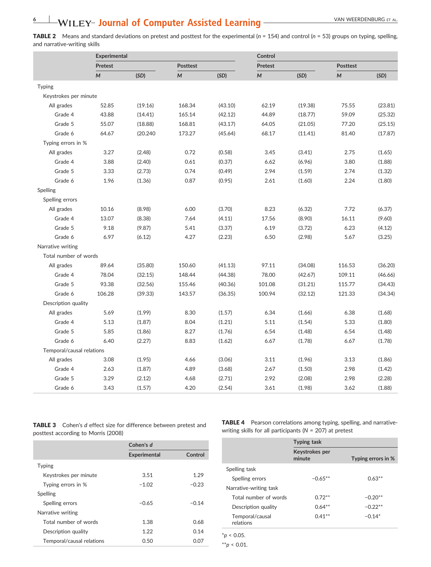### **6** VAN WEERDENBURG ET AL.

TABLE 2 Means and standard deviations on pretest and posttest for the experimental (*n* = 154) and control (*n* = 53) groups on typing, spelling, and narrative‐writing skills

|                           |         | <b>Experimental</b> |        |                 | Control |                |                  |                 |  |
|---------------------------|---------|---------------------|--------|-----------------|---------|----------------|------------------|-----------------|--|
|                           | Pretest |                     |        | <b>Posttest</b> |         | <b>Pretest</b> |                  | <b>Posttest</b> |  |
|                           | M       | (SD)                | M      | (SD)            | M       | (SD)           | $\boldsymbol{M}$ | (SD)            |  |
| <b>Typing</b>             |         |                     |        |                 |         |                |                  |                 |  |
| Keystrokes per minute     |         |                     |        |                 |         |                |                  |                 |  |
| All grades                | 52.85   | (19.16)             | 168.34 | (43.10)         | 62.19   | (19.38)        | 75.55            | (23.81)         |  |
| Grade 4                   | 43.88   | (14.41)             | 165.14 | (42.12)         | 44.89   | (18.77)        | 59.09            | (25.32)         |  |
| Grade 5                   | 55.07   | (18.88)             | 168.81 | (43.17)         | 64.05   | (21.05)        | 77.20            | (25.15)         |  |
| Grade 6                   | 64.67   | (20.240)            | 173.27 | (45.64)         | 68.17   | (11.41)        | 81.40            | (17.87)         |  |
| Typing errors in %        |         |                     |        |                 |         |                |                  |                 |  |
| All grades                | 3.27    | (2.48)              | 0.72   | (0.58)          | 3.45    | (3.41)         | 2.75             | (1.65)          |  |
| Grade 4                   | 3.88    | (2.40)              | 0.61   | (0.37)          | 6.62    | (6.96)         | 3.80             | (1.88)          |  |
| Grade 5                   | 3.33    | (2.73)              | 0.74   | (0.49)          | 2.94    | (1.59)         | 2.74             | (1.32)          |  |
| Grade 6                   | 1.96    | (1.36)              | 0.87   | (0.95)          | 2.61    | (1.60)         | 2.24             | (1.80)          |  |
| Spelling                  |         |                     |        |                 |         |                |                  |                 |  |
| Spelling errors           |         |                     |        |                 |         |                |                  |                 |  |
| All grades                | 10.16   | (8.98)              | 6.00   | (3.70)          | 8.23    | (6.32)         | 7.72             | (6.37)          |  |
| Grade 4                   | 13.07   | (8.38)              | 7.64   | (4.11)          | 17.56   | (8.90)         | 16.11            | (9.60)          |  |
| Grade 5                   | 9.18    | (9.87)              | 5.41   | (3.37)          | 6.19    | (3.72)         | 6.23             | (4.12)          |  |
| Grade 6                   | 6.97    | (6.12)              | 4.27   | (2.23)          | 6.50    | (2.98)         | 5.67             | (3.25)          |  |
| Narrative writing         |         |                     |        |                 |         |                |                  |                 |  |
| Total number of words     |         |                     |        |                 |         |                |                  |                 |  |
| All grades                | 89.64   | (35.80)             | 150.60 | (41.13)         | 97.11   | (34.08)        | 116.53           | (36.20)         |  |
| Grade 4                   | 78.04   | (32.15)             | 148.44 | (44.38)         | 78.00   | (42.67)        | 109.11           | (46.66)         |  |
| Grade 5                   | 93.38   | (32.56)             | 155.46 | (40.36)         | 101.08  | (31.21)        | 115.77           | (34.43)         |  |
| Grade 6                   | 106.28  | (39.33)             | 143.57 | (36.35)         | 100.94  | (32.12)        | 121.33           | (34.34)         |  |
| Description quality       |         |                     |        |                 |         |                |                  |                 |  |
| All grades                | 5.69    | (1.99)              | 8.30   | (1.57)          | 6.34    | (1.66)         | 6.38             | (1.68)          |  |
| Grade 4                   | 5.13    | (1.87)              | 8.04   | (1.21)          | 5.11    | (1.54)         | 5.33             | (1.80)          |  |
| Grade 5                   | 5.85    | (1.86)              | 8.27   | (1.76)          | 6.54    | (1.48)         | 6.54             | (1.48)          |  |
| Grade 6                   | 6.40    | (2.27)              | 8.83   | (1.62)          | 6.67    | (1.78)         | 6.67             | (1.78)          |  |
| Temporal/causal relations |         |                     |        |                 |         |                |                  |                 |  |
| All grades                | 3.08    | (1.95)              | 4.66   | (3.06)          | 3.11    | (1.96)         | 3.13             | (1.86)          |  |
| Grade 4                   | 2.63    | (1.87)              | 4.89   | (3.68)          | 2.67    | (1.50)         | 2.98             | (1.42)          |  |
| Grade 5                   | 3.29    | (2.12)              | 4.68   | (2.71)          | 2.92    | (2.08)         | 2.98             | (2.28)          |  |
| Grade 6                   | 3.43    | (1.57)              | 4.20   | (2.54)          | 3.61    | (1.98)         | 3.62             | (1.88)          |  |
|                           |         |                     |        |                 |         |                |                  |                 |  |

TABLE 3 Cohen's *d* effect size for difference between pretest and posttest according to Morris (2008)

|                           | Cohen's d           |         |  |
|---------------------------|---------------------|---------|--|
|                           | <b>Experimental</b> | Control |  |
| <b>Typing</b>             |                     |         |  |
| Keystrokes per minute     | 3.51                | 1.29    |  |
| Typing errors in %        | $-1.02$             | $-0.23$ |  |
| Spelling                  |                     |         |  |
| Spelling errors           | $-0.65$             | $-0.14$ |  |
| Narrative writing         |                     |         |  |
| Total number of words     | 1.38                | 0.68    |  |
| Description quality       | 1.22                | 0.14    |  |
| Temporal/causal relations | 0.50                | 0.07    |  |

TABLE 4 Pearson correlations among typing, spelling, and narrativewriting skills for all participants (*N* = 207) at pretest

|                              | <b>Typing task</b>       |                    |  |  |
|------------------------------|--------------------------|--------------------|--|--|
|                              | Keystrokes per<br>minute | Typing errors in % |  |  |
| Spelling task                |                          |                    |  |  |
| Spelling errors              | $-0.65***$               | $0.63***$          |  |  |
| Narrative-writing task       |                          |                    |  |  |
| Total number of words        | $0.72***$                | $-0.20**$          |  |  |
| Description quality          | $0.64***$                | $-0.22**$          |  |  |
| Temporal/causal<br>relations | $0.41**$                 | $-0.14*$           |  |  |

\**p* < 0.05.

\*\**p* < 0.01.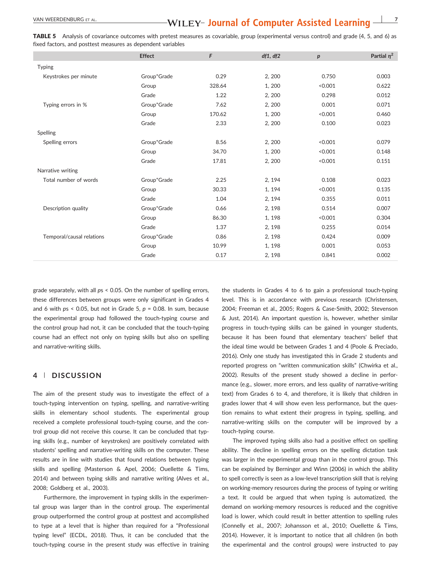### VAN WEERDENBURG ET AL. **778 A.C. 778 WILEY- Journal of Computer Assisted Learning -**

TABLE 5 Analysis of covariance outcomes with pretest measures as covariable, group (experimental versus control) and grade (4, 5, and 6) as fixed factors, and posttest measures as dependent variables

|                           | <b>Effect</b> | F      | df1, df2 | p       | Partial $\eta^2$ |
|---------------------------|---------------|--------|----------|---------|------------------|
| <b>Typing</b>             |               |        |          |         |                  |
| Keystrokes per minute     | Group*Grade   | 0.29   | 2, 200   | 0.750   | 0.003            |
|                           | Group         | 328.64 | 1,200    | < 0.001 | 0.622            |
|                           | Grade         | 1.22   | 2, 200   | 0.298   | 0.012            |
| Typing errors in %        | Group*Grade   | 7.62   | 2, 200   | 0.001   | 0.071            |
|                           | Group         | 170.62 | 1,200    | < 0.001 | 0.460            |
|                           | Grade         | 2.33   | 2, 200   | 0.100   | 0.023            |
| Spelling                  |               |        |          |         |                  |
| Spelling errors           | Group*Grade   | 8.56   | 2, 200   | < 0.001 | 0.079            |
|                           | Group         | 34.70  | 1,200    | < 0.001 | 0.148            |
|                           | Grade         | 17.81  | 2, 200   | < 0.001 | 0.151            |
| Narrative writing         |               |        |          |         |                  |
| Total number of words     | Group*Grade   | 2.25   | 2, 194   | 0.108   | 0.023            |
|                           | Group         | 30.33  | 1, 194   | < 0.001 | 0.135            |
|                           | Grade         | 1.04   | 2, 194   | 0.355   | 0.011            |
| Description quality       | Group*Grade   | 0.66   | 2, 198   | 0.514   | 0.007            |
|                           | Group         | 86.30  | 1, 198   | < 0.001 | 0.304            |
|                           | Grade         | 1.37   | 2, 198   | 0.255   | 0.014            |
| Temporal/causal relations | Group*Grade   | 0.86   | 2, 198   | 0.424   | 0.009            |
|                           | Group         | 10.99  | 1, 198   | 0.001   | 0.053            |
|                           | Grade         | 0.17   | 2, 198   | 0.841   | 0.002            |

grade separately, with all *p*s < 0.05. On the number of spelling errors, these differences between groups were only significant in Grades 4 and 6 with *p*s < 0.05, but not in Grade 5, *p* = 0.08. In sum, because the experimental group had followed the touch‐typing course and the control group had not, it can be concluded that the touch‐typing course had an effect not only on typing skills but also on spelling and narrative‐writing skills.

#### **4** | **DISCUSSION**

The aim of the present study was to investigate the effect of a touch‐typing intervention on typing, spelling, and narrative‐writing skills in elementary school students. The experimental group received a complete professional touch‐typing course, and the control group did not receive this course. It can be concluded that typing skills (e.g., number of keystrokes) are positively correlated with students' spelling and narrative‐writing skills on the computer. These results are in line with studies that found relations between typing skills and spelling (Masterson & Apel, 2006; Ouellette & Tims, 2014) and between typing skills and narrative writing (Alves et al., 2008; Goldberg et al., 2003).

Furthermore, the improvement in typing skills in the experimental group was larger than in the control group. The experimental group outperformed the control group at posttest and accomplished to type at a level that is higher than required for a "Professional typing level" (ECDL, 2018). Thus, it can be concluded that the touch‐typing course in the present study was effective in training

the students in Grades 4 to 6 to gain a professional touch‐typing level. This is in accordance with previous research (Christensen, 2004; Freeman et al., 2005; Rogers & Case‐Smith, 2002; Stevenson & Just, 2014). An important question is, however, whether similar progress in touch‐typing skills can be gained in younger students, because it has been found that elementary teachers' belief that the ideal time would be between Grades 1 and 4 (Poole & Preciado, 2016). Only one study has investigated this in Grade 2 students and reported progress on "written communication skills" (Chwirka et al., 2002). Results of the present study showed a decline in performance (e.g., slower, more errors, and less quality of narrative‐writing text) from Grades 6 to 4, and therefore, it is likely that children in grades lower that 4 will show even less performance, but the question remains to what extent their progress in typing, spelling, and narrative‐writing skills on the computer will be improved by a touch‐typing course.

The improved typing skills also had a positive effect on spelling ability. The decline in spelling errors on the spelling dictation task was larger in the experimental group than in the control group. This can be explained by Berninger and Winn (2006) in which the ability to spell correctly is seen as a low‐level transcription skill that is relying on working‐memory resources during the process of typing or writing a text. It could be argued that when typing is automatized, the demand on working‐memory resources is reduced and the cognitive load is lower, which could result in better attention to spelling rules (Connelly et al., 2007; Johansson et al., 2010; Ouellette & Tims, 2014). However, it is important to notice that all children (in both the experimental and the control groups) were instructed to pay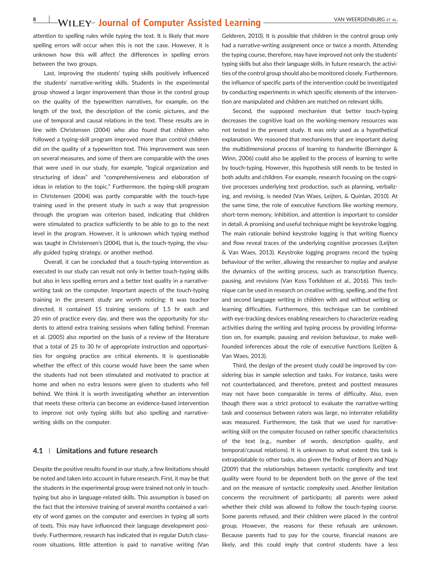### **8 VAN WEERDENBURG ET AL. 8** VAN WEERDENBURG ET AL.

attention to spelling rules while typing the text. It is likely that more spelling errors will occur when this is not the case. However, it is unknown how this will affect the differences in spelling errors between the two groups.

Last, improving the students' typing skills positively influenced the students' narrative‐writing skills. Students in the experimental group showed a larger improvement than those in the control group on the quality of the typewritten narratives, for example, on the length of the text, the description of the comic pictures, and the use of temporal and causal relations in the text. These results are in line with Christensen (2004) who also found that children who followed a typing‐skill program improved more than control children did on the quality of a typewritten text. This improvement was seen on several measures, and some of them are comparable with the ones that were used in our study, for example, "logical organization and structuring of ideas" and "comprehensiveness and elaboration of ideas in relation to the topic." Furthermore, the typing‐skill program in Christensen (2004) was partly comparable with the touch‐type training used in the present study in such a way that progression through the program was criterion based, indicating that children were stimulated to practice sufficiently to be able to go to the next level in the program. However, it is unknown which typing method was taught in Christensen's (2004), that is, the touch-typing, the visually guided typing strategy, or another method.

Overall, it can be concluded that a touch‐typing intervention as executed in our study can result not only in better touch‐typing skills but also in less spelling errors and a better text quality in a narrative‐ writing task on the computer. Important aspects of the touch-typing training in the present study are worth noticing: It was teacher directed, it contained 15 training sessions of 1.5 hr each and 20 min of practice every day, and there was the opportunity for students to attend extra training sessions when falling behind. Freeman et al. (2005) also reported on the basis of a review of the literature that a total of 25 to 30 hr of appropriate instruction and opportunities for ongoing practice are critical elements. It is questionable whether the effect of this course would have been the same when the students had not been stimulated and motivated to practice at home and when no extra lessons were given to students who fell behind. We think it is worth investigating whether an intervention that meets these criteria can become an evidence‐based intervention to improve not only typing skills but also spelling and narrative‐ writing skills on the computer.

#### **4.1** | **Limitations and future research**

Despite the positive results found in our study, a few limitations should be noted and taken into account in future research. First, it may be that the students in the experimental group were trained not only in touch‐ typing but also in language‐related skills. This assumption is based on the fact that the intensive training of several months contained a variety of word games on the computer and exercises in typing all sorts of texts. This may have influenced their language development positively. Furthermore, research has indicated that in regular Dutch classroom situations, little attention is paid to narrative writing (Van

Gelderen, 2010). It is possible that children in the control group only had a narrative-writing assignment once or twice a month. Attending the typing course, therefore, may have improved not only the students' typing skills but also their language skills. In future research, the activities of the control group should also be monitored closely. Furthermore, the influence of specific parts of the intervention could be investigated by conducting experiments in which specific elements of the intervention are manipulated and children are matched on relevant skills.

Second, the supposed mechanism that better touch-typing decreases the cognitive load on the working‐memory resources was not tested in the present study. It was only used as a hypothetical explanation. We reasoned that mechanisms that are important during the multidimensional process of learning to handwrite (Berninger & Winn, 2006) could also be applied to the process of learning to write by touch‐typing. However, this hypothesis still needs to be tested in both adults and children. For example, research focusing on the cognitive processes underlying text production, such as planning, verbalizing, and revising, is needed (Van Waes, Leijten, & Quinlan, 2010). At the same time, the role of executive functions like working memory, short-term memory, inhibition, and attention is important to consider in detail. A promising and useful technique might be keystroke logging. The main rationale behind keystroke logging is that writing fluency and flow reveal traces of the underlying cognitive processes (Leijten & Van Waes, 2013). Keystroke logging programs record the typing behaviour of the writer, allowing the researcher to replay and analyse the dynamics of the writing process, such as transcription fluency, pausing, and revisions (Van Koss Torkildsen et al., 2016). This technique can be used in research on creative writing, spelling, and the first and second language writing in children with and without writing or learning difficulties. Furthermore, this technique can be combined with eye-tracking devices enabling researchers to characterize reading activities during the writing and typing process by providing information on, for example, pausing and revision behaviour, to make wellfounded inferences about the role of executive functions (Leijten & Van Waes, 2013).

Third, the design of the present study could be improved by considering bias in sample selection and tasks. For instance, tasks were not counterbalanced, and therefore, pretest and posttest measures may not have been comparable in terms of difficulty. Also, even though there was a strict protocol to evaluate the narrative‐writing task and consensus between raters was large, no interrater reliability was measured. Furthermore, the task that we used for narrativewriting skill on the computer focused on rather specific characteristics of the text (e.g., number of words, description quality, and temporal/causal relations). It is unknown to what extent this task is extrapolatable to other tasks, also given the finding of Beers and Nagy (2009) that the relationships between syntactic complexity and text quality were found to be dependent both on the genre of the text and on the measure of syntactic complexity used. Another limitation concerns the recruitment of participants; all parents were asked whether their child was allowed to follow the touch-typing course. Some parents refused, and their children were placed in the control group. However, the reasons for these refusals are unknown. Because parents had to pay for the course, financial reasons are likely, and this could imply that control students have a less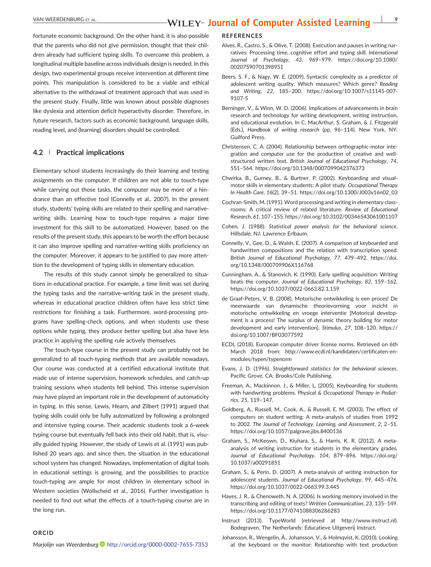fortunate economic background. On the other hand, it is also possible that the parents who did not give permission, thought that their children already had sufficient typing skills. To overcome this problem, a longitudinal multiple baseline across individuals design is needed. In this design, two experimental groups receive intervention at different time points. This manipulation is considered to be a viable and ethical alternative to the withdrawal of treatment approach that was used in the present study. Finally, little was known about possible diagnoses like dyslexia and attention deficit hyperactivity disorder. Therefore, in future research, factors such as economic background, language skills, reading level, and (learning) disorders should be controlled.

#### **4.2** | **Practical implications**

Elementary school students increasingly do their learning and testing assignments on the computer. If children are not able to touch‐type while carrying out those tasks, the computer may be more of a hindrance than an effective tool (Connelly et al., 2007). In the present study, students' typing skills are related to their spelling and narrative‐ writing skills. Learning how to touch-type requires a major time investment for this skill to be automatized. However, based on the results of the present study, this appears to be worth the effort because it can also improve spelling and narrative-writing skills proficiency on the computer. Moreover, it appears to be justified to pay more attention to the development of typing skills in elementary education.

The results of this study cannot simply be generalized to situations in educational practice. For example, a time limit was set during the typing tasks and the narrative‐writing task in the present study, whereas in educational practice children often have less strict time restrictions for finishing a task. Furthermore, word‐processing programs have spelling‐check options, and when students use these options while typing, they produce better spelling but also have less practice in applying the spelling rule actively themselves.

The touch-type course in the present study can probably not be generalized to all touch‐typing methods that are available nowadays. Our course was conducted at a certified educational institute that made use of intense supervision, homework schedules, and catch‐up training sessions when students fell behind. This intense supervision may have played an important role in the development of automaticity in typing. In this sense, Lewis, Hearn, and Zilbert (1991) argued that typing skills could only be fully automatized by following a prolonged and intensive typing course. Their academic students took a 6‐week typing course but eventually fell back into their old habit, that is, visually guided typing. However, the study of Lewis et al. (1991) was published 20 years ago, and since then, the situation in the educational school system has changed. Nowadays, implementation of digital tools in educational settings is growing, and the possibilities to practice touch‐typing are ample for most children in elementary school in Western societies (Wollscheid et al., 2016). Further investigation is needed to find out what the effects of a touch‐typing course are in the long run.

#### **ORCID**

*Marjolijn van Weerdenburg* <http://orcid.org/0000-0002-7655-7353>

#### **REFERENCES**

- Alves, R., Castro, S., & Olive, T. (2008). Execution and pauses in writing narratives: Processing time, cognitive effort and typing skill. *International Journal of Psychology*, *43*, 969–979. [https://doi.org/10.1080/](https://doi.org/10.1080/00207590701398951) [00207590701398951](https://doi.org/10.1080/00207590701398951)
- Beers, S. F., & Nagy, W. E. (2009). Syntactic complexity as a predictor of adolescent writing quality: Which measures? Which genre? *Reading and Writing*, *22*, 185–200. [https://doi.org/10.1007/s11145](https://doi.org/10.1007/s11145-007-9107-5)‐007‐ [9107](https://doi.org/10.1007/s11145-007-9107-5)‐5
- Berninger, V., & Winn, W. D. (2006). Implications of advancements in brain research and technology for writing development, writing instruction, and educational evolution. In C. MacArthur, S. Graham, & J. Fitzgerald (Eds.), *Handbook of writing research* (pp. 96–114). New York, NY: Guilford Press.
- Christensen, C. A. (2004). Relationship between orthographic‐motor integration and computer use for the production of creative and well‐ structured written text. *British Journal of Educational Psychology*, *74*, 551–564.<https://doi.org/10.1348/0007099042376373>
- Chwirka, B., Gurney, B., & Burtner, P. (2002). Keyboarding and visual‐ motor skills in elementary students: A pilot study. *Occupational Therapy In Health Care*, *16*(2), 39–51. [https://doi.org/10.1300/J003v16n02\\_03](https://doi.org/10.1300/J003v16n02_03)
- Cochran‐Smith, M. (1991). Word processing and writing in elementary classrooms: A critical review of related literature. *Review of Educational Research*, *61*, 107–155.<https://doi.org/10.3102/00346543061001107>
- Cohen, J. (1988). *Statistical power analysis for the behavioral science*. Hillsdale, NJ: Lawrence Erlbaum.
- Connelly, V., Gee, D., & Walsh, E. (2007). A comparison of keyboarded and handwritten compositions and the relation with transcription speed. *British Journal of Educational Psychology*, *77*, 479–492. [https://doi.](https://doi.org/10.1348/000709906X116768) [org/10.1348/000709906X116768](https://doi.org/10.1348/000709906X116768)
- Cunningham, A., & Stanovich, K. (1990). Early spelling acquisition: Writing beats the computer. *Journal of Educational Psychology*, *82*, 159–162. [https://doi.org/10.1037/0022](https://doi.org/10.1037/0022-0663.82.1.159)‐0663.82.1.159
- de Graaf‐Peters, V. B. (2008). Motorische ontwikkeling is een proces! De meerwaarde van dynamische theorievorming voor inzicht in motorische ontwikkeling en vroege interventie [Motorical development is a process! The surplus of dynamic theory building for motor development and early intervention]. *Stimulus*, *27*, 108–120. [https://](https://doi.org/10.1007/BF03077592) [doi.org/10.1007/BF03077592](https://doi.org/10.1007/BF03077592)
- ECDL (2018). European computer driver license norms. Retrieved on 6th March 2018 from: [http://www.ecdl.nl/kandidaten/certificaten](http://www.ecdl.nl/kandidaten/certificaten-en-modules/typen/typenorm)-en[modules/typen/typenorm](http://www.ecdl.nl/kandidaten/certificaten-en-modules/typen/typenorm)
- Evans, J. D. (1996). *Straightforward statistics for the behavioral sciences*. Pacific Grove, CA: Brooks/Cole Publishing.
- Freeman, A., Mackinnon, J., & Miller, L. (2005). Keyboarding for students with handwriting problems. *Physical & Occupational Therapy in Pediatrics*, *25*, 119–147.
- Goldberg, A., Russell, M., Cook, A., & Russell, E. M. (2003). The effect of computers on student writing: A meta‐analysis of studies from 1992 to 2002. *The Journal of Technology, Learning, and Assessment*, *2*, 2–51. <https://doi.org/10.1057/palgrave.jibs.8400136>
- Graham, S., McKeown, D., Kiuhara, S., & Harris, K. R. (2012). A meta‐ analysis of writing instruction for students in the elementary grades. *Journal of Educational Psychology*, *104*, 879–896. [https://doi.org/](https://doi.org/10.1037/a00291851) [10.1037/a00291851](https://doi.org/10.1037/a00291851)
- Graham, S., & Perin, D. (2007). A meta‐analysis of writing instruction for adolescent students. *Journal of Educational Psychology*, *99*, 445–476. [https://doi.org/10.1037/0022](https://doi.org/10.1037/0022-0663.99.3.445)‐0663.99.3.445
- Hayes, J. R., & Chenoweth, N. A. (2006). Is working memory involved in the transcribing and editing of texts? *Written Communication*, *23*, 135–149. [https://doi.org/10.1177/0741088306286283](http://doi.org/10.1177/0741088306286283)
- Instruct (2013). TypeWorld (retrieved at [http://www.instruct.nl\)](http://www.instruct.nl). Bodegraven, The Netherlands: Educatieve Uitgeverij Instruct.
- Johansson, R., Wengelin, Å., Johansson, V., & Holmqvist, K. (2010). Looking at the keyboard or the monitor: Relationship with text production